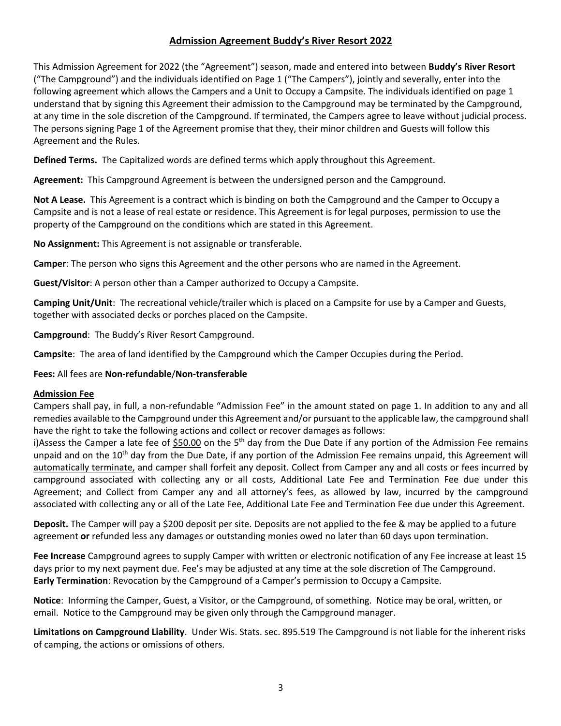### **Admission Agreement Buddy's River Resort 2022**

This Admission Agreement for 2022 (the "Agreement") season, made and entered into between **Buddy's River Resort** ("The Campground") and the individuals identified on Page 1 ("The Campers"), jointly and severally, enter into the following agreement which allows the Campers and a Unit to Occupy a Campsite. The individuals identified on page 1 understand that by signing this Agreement their admission to the Campground may be terminated by the Campground, at any time in the sole discretion of the Campground. If terminated, the Campers agree to leave without judicial process. The persons signing Page 1 of the Agreement promise that they, their minor children and Guests will follow this Agreement and the Rules.

**Defined Terms.** The Capitalized words are defined terms which apply throughout this Agreement.

**Agreement:** This Campground Agreement is between the undersigned person and the Campground.

**Not A Lease.** This Agreement is a contract which is binding on both the Campground and the Camper to Occupy a Campsite and is not a lease of real estate or residence. This Agreement is for legal purposes, permission to use the property of the Campground on the conditions which are stated in this Agreement.

**No Assignment:** This Agreement is not assignable or transferable.

**Camper**: The person who signs this Agreement and the other persons who are named in the Agreement.

**Guest/Visitor**: A person other than a Camper authorized to Occupy a Campsite.

**Camping Unit/Unit**: The recreational vehicle/trailer which is placed on a Campsite for use by a Camper and Guests, together with associated decks or porches placed on the Campsite.

**Campground**: The Buddy's River Resort Campground.

**Campsite**: The area of land identified by the Campground which the Camper Occupies during the Period.

### **Fees:** All fees are **Non-refundable**/**Non-transferable**

### **Admission Fee**

Campers shall pay, in full, a non-refundable "Admission Fee" in the amount stated on page 1. In addition to any and all remedies available to the Campground under this Agreement and/or pursuant to the applicable law, the campground shall have the right to take the following actions and collect or recover damages as follows:

i)Assess the Camper a late fee of \$50.00 on the 5<sup>th</sup> day from the Due Date if any portion of the Admission Fee remains unpaid and on the 10<sup>th</sup> day from the Due Date, if any portion of the Admission Fee remains unpaid, this Agreement will automatically terminate, and camper shall forfeit any deposit. Collect from Camper any and all costs or fees incurred by campground associated with collecting any or all costs, Additional Late Fee and Termination Fee due under this Agreement; and Collect from Camper any and all attorney's fees, as allowed by law, incurred by the campground associated with collecting any or all of the Late Fee, Additional Late Fee and Termination Fee due under this Agreement.

**Deposit.** The Camper will pay a \$200 deposit per site. Deposits are not applied to the fee & may be applied to a future agreement **or** refunded less any damages or outstanding monies owed no later than 60 days upon termination.

**Fee Increase** Campground agrees to supply Camper with written or electronic notification of any Fee increase at least 15 days prior to my next payment due. Fee's may be adjusted at any time at the sole discretion of The Campground. **Early Termination**: Revocation by the Campground of a Camper's permission to Occupy a Campsite.

**Notice**: Informing the Camper, Guest, a Visitor, or the Campground, of something. Notice may be oral, written, or email. Notice to the Campground may be given only through the Campground manager.

**Limitations on Campground Liability**. Under Wis. Stats. sec. 895.519 The Campground is not liable for the inherent risks of camping, the actions or omissions of others.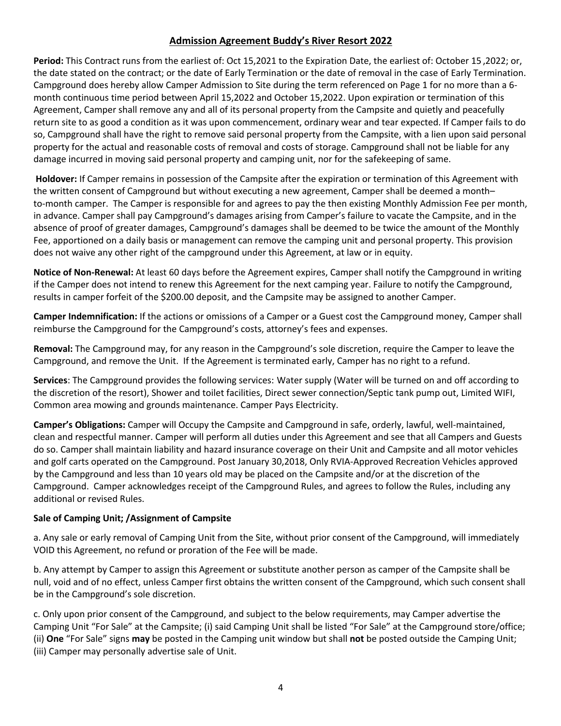### **Admission Agreement Buddy's River Resort 2022**

**Period:** This Contract runs from the earliest of: Oct 15,2021 to the Expiration Date, the earliest of: October 15 ,2022; or, the date stated on the contract; or the date of Early Termination or the date of removal in the case of Early Termination. Campground does hereby allow Camper Admission to Site during the term referenced on Page 1 for no more than a 6 month continuous time period between April 15,2022 and October 15,2022. Upon expiration or termination of this Agreement, Camper shall remove any and all of its personal property from the Campsite and quietly and peacefully return site to as good a condition as it was upon commencement, ordinary wear and tear expected. If Camper fails to do so, Campground shall have the right to remove said personal property from the Campsite, with a lien upon said personal property for the actual and reasonable costs of removal and costs of storage. Campground shall not be liable for any damage incurred in moving said personal property and camping unit, nor for the safekeeping of same.

**Holdover:** If Camper remains in possession of the Campsite after the expiration or termination of this Agreement with the written consent of Campground but without executing a new agreement, Camper shall be deemed a month– to-month camper. The Camper is responsible for and agrees to pay the then existing Monthly Admission Fee per month, in advance. Camper shall pay Campground's damages arising from Camper's failure to vacate the Campsite, and in the absence of proof of greater damages, Campground's damages shall be deemed to be twice the amount of the Monthly Fee, apportioned on a daily basis or management can remove the camping unit and personal property. This provision does not waive any other right of the campground under this Agreement, at law or in equity.

**Notice of Non-Renewal:** At least 60 days before the Agreement expires, Camper shall notify the Campground in writing if the Camper does not intend to renew this Agreement for the next camping year. Failure to notify the Campground, results in camper forfeit of the \$200.00 deposit, and the Campsite may be assigned to another Camper.

**Camper Indemnification:** If the actions or omissions of a Camper or a Guest cost the Campground money, Camper shall reimburse the Campground for the Campground's costs, attorney's fees and expenses.

**Removal:** The Campground may, for any reason in the Campground's sole discretion, require the Camper to leave the Campground, and remove the Unit. If the Agreement is terminated early, Camper has no right to a refund.

**Services**: The Campground provides the following services: Water supply (Water will be turned on and off according to the discretion of the resort), Shower and toilet facilities, Direct sewer connection/Septic tank pump out, Limited WIFI, Common area mowing and grounds maintenance. Camper Pays Electricity.

**Camper's Obligations:** Camper will Occupy the Campsite and Campground in safe, orderly, lawful, well-maintained, clean and respectful manner. Camper will perform all duties under this Agreement and see that all Campers and Guests do so. Camper shall maintain liability and hazard insurance coverage on their Unit and Campsite and all motor vehicles and golf carts operated on the Campground. Post January 30,2018, Only RVIA-Approved Recreation Vehicles approved by the Campground and less than 10 years old may be placed on the Campsite and/or at the discretion of the Campground. Camper acknowledges receipt of the Campground Rules, and agrees to follow the Rules, including any additional or revised Rules.

### **Sale of Camping Unit; /Assignment of Campsite**

a. Any sale or early removal of Camping Unit from the Site, without prior consent of the Campground, will immediately VOID this Agreement, no refund or proration of the Fee will be made.

b. Any attempt by Camper to assign this Agreement or substitute another person as camper of the Campsite shall be null, void and of no effect, unless Camper first obtains the written consent of the Campground, which such consent shall be in the Campground's sole discretion.

c. Only upon prior consent of the Campground, and subject to the below requirements, may Camper advertise the Camping Unit "For Sale" at the Campsite; (i) said Camping Unit shall be listed "For Sale" at the Campground store/office; (ii) **One** "For Sale" signs **may** be posted in the Camping unit window but shall **not** be posted outside the Camping Unit; (iii) Camper may personally advertise sale of Unit.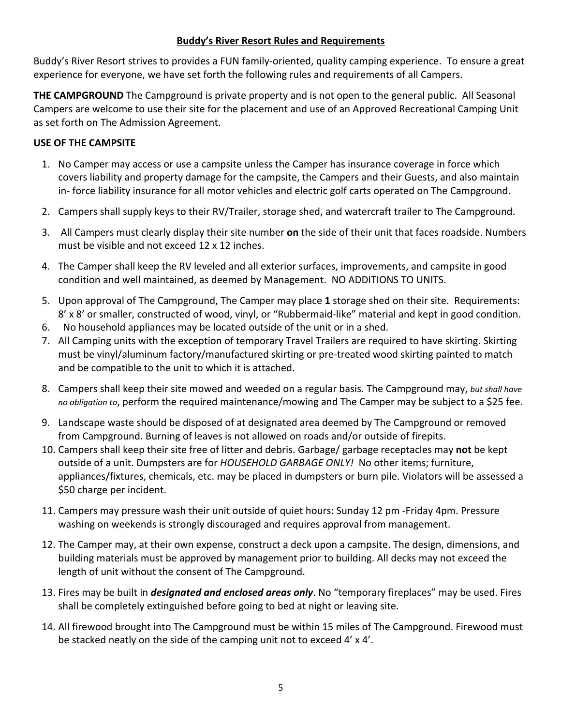# **Buddy's River Resort Rules and Requirements**

Buddy's River Resort strives to provides a FUN family-oriented, quality camping experience. To ensure a great experience for everyone, we have set forth the following rules and requirements of all Campers.

**THE CAMPGROUND** The Campground is private property and is not open to the general public. All Seasonal Campers are welcome to use their site for the placement and use of an Approved Recreational Camping Unit as set forth on The Admission Agreement.

# **USE OF THE CAMPSITE**

- 1. No Camper may access or use a campsite unless the Camper has insurance coverage in force which covers liability and property damage for the campsite, the Campers and their Guests, and also maintain in- force liability insurance for all motor vehicles and electric golf carts operated on The Campground.
- 2. Campers shall supply keys to their RV/Trailer, storage shed, and watercraft trailer to The Campground.
- 3. All Campers must clearly display their site number **on** the side of their unit that faces roadside. Numbers must be visible and not exceed 12 x 12 inches.
- 4. The Camper shall keep the RV leveled and all exterior surfaces, improvements, and campsite in good condition and well maintained, as deemed by Management. NO ADDITIONS TO UNITS.
- 5. Upon approval of The Campground, The Camper may place **1** storage shed on their site. Requirements: 8' x 8' or smaller, constructed of wood, vinyl, or "Rubbermaid-like" material and kept in good condition.
- 6. No household appliances may be located outside of the unit or in a shed.
- 7. All Camping units with the exception of temporary Travel Trailers are required to have skirting. Skirting must be vinyl/aluminum factory/manufactured skirting or pre-treated wood skirting painted to match and be compatible to the unit to which it is attached.
- 8. Campers shall keep their site mowed and weeded on a regular basis. The Campground may, *but shall have no obligation to*, perform the required maintenance/mowing and The Camper may be subject to a \$25 fee.
- 9. Landscape waste should be disposed of at designated area deemed by The Campground or removed from Campground. Burning of leaves is not allowed on roads and/or outside of firepits.
- 10. Campers shall keep their site free of litter and debris. Garbage/ garbage receptacles may **not** be kept outside of a unit. Dumpsters are for *HOUSEHOLD GARBAGE ONLY!* No other items; furniture, appliances/fixtures, chemicals, etc. may be placed in dumpsters or burn pile. Violators will be assessed a \$50 charge per incident.
- 11. Campers may pressure wash their unit outside of quiet hours: Sunday 12 pm -Friday 4pm. Pressure washing on weekends is strongly discouraged and requires approval from management.
- 12. The Camper may, at their own expense, construct a deck upon a campsite. The design, dimensions, and building materials must be approved by management prior to building. All decks may not exceed the length of unit without the consent of The Campground.
- 13. Fires may be built in *designated and enclosed areas only*. No "temporary fireplaces" may be used. Fires shall be completely extinguished before going to bed at night or leaving site.
- 14. All firewood brought into The Campground must be within 15 miles of The Campground. Firewood must be stacked neatly on the side of the camping unit not to exceed 4' x 4'.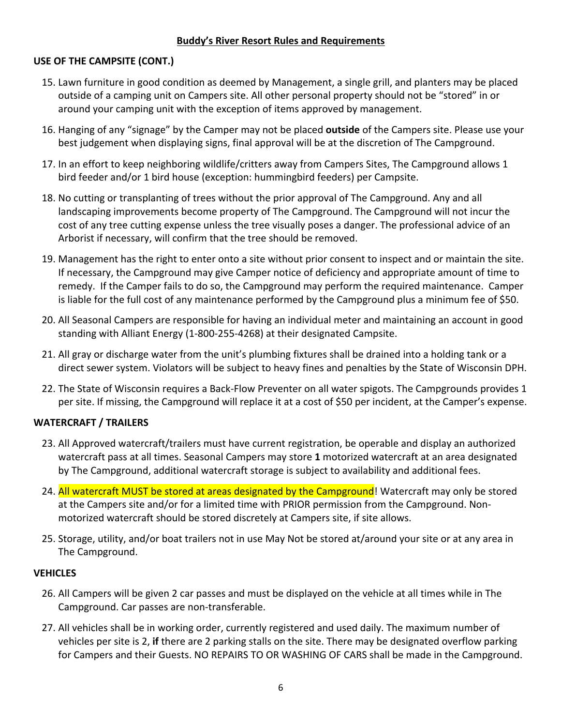### **Buddy's River Resort Rules and Requirements**

### **USE OF THE CAMPSITE (CONT.)**

- 15. Lawn furniture in good condition as deemed by Management, a single grill, and planters may be placed outside of a camping unit on Campers site. All other personal property should not be "stored" in or around your camping unit with the exception of items approved by management.
- 16. Hanging of any "signage" by the Camper may not be placed **outside** of the Campers site. Please use your best judgement when displaying signs, final approval will be at the discretion of The Campground.
- 17. In an effort to keep neighboring wildlife/critters away from Campers Sites, The Campground allows 1 bird feeder and/or 1 bird house (exception: hummingbird feeders) per Campsite.
- 18. No cutting or transplanting of trees without the prior approval of The Campground. Any and all landscaping improvements become property of The Campground. The Campground will not incur the cost of any tree cutting expense unless the tree visually poses a danger. The professional advice of an Arborist if necessary, will confirm that the tree should be removed.
- 19. Management has the right to enter onto a site without prior consent to inspect and or maintain the site. If necessary, the Campground may give Camper notice of deficiency and appropriate amount of time to remedy. If the Camper fails to do so, the Campground may perform the required maintenance. Camper is liable for the full cost of any maintenance performed by the Campground plus a minimum fee of \$50.
- 20. All Seasonal Campers are responsible for having an individual meter and maintaining an account in good standing with Alliant Energy (1-800-255-4268) at their designated Campsite.
- 21. All gray or discharge water from the unit's plumbing fixtures shall be drained into a holding tank or a direct sewer system. Violators will be subject to heavy fines and penalties by the State of Wisconsin DPH.
- 22. The State of Wisconsin requires a Back-Flow Preventer on all water spigots. The Campgrounds provides 1 per site. If missing, the Campground will replace it at a cost of \$50 per incident, at the Camper's expense.

### **WATERCRAFT / TRAILERS**

- 23. All Approved watercraft/trailers must have current registration, be operable and display an authorized watercraft pass at all times. Seasonal Campers may store **1** motorized watercraft at an area designated by The Campground, additional watercraft storage is subject to availability and additional fees.
- 24. All watercraft MUST be stored at areas designated by the Campground! Watercraft may only be stored at the Campers site and/or for a limited time with PRIOR permission from the Campground. Nonmotorized watercraft should be stored discretely at Campers site, if site allows.
- 25. Storage, utility, and/or boat trailers not in use May Not be stored at/around your site or at any area in The Campground.

### **VEHICLES**

- 26. All Campers will be given 2 car passes and must be displayed on the vehicle at all times while in The Campground. Car passes are non-transferable.
- 27. All vehicles shall be in working order, currently registered and used daily. The maximum number of vehicles per site is 2, **if** there are 2 parking stalls on the site. There may be designated overflow parking for Campers and their Guests. NO REPAIRS TO OR WASHING OF CARS shall be made in the Campground.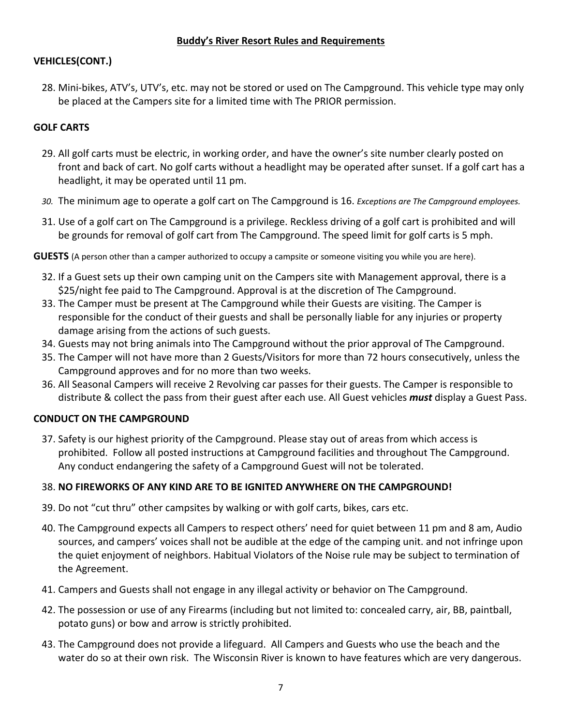# **VEHICLES(CONT.)**

28. Mini-bikes, ATV's, UTV's, etc. may not be stored or used on The Campground. This vehicle type may only be placed at the Campers site for a limited time with The PRIOR permission.

# **GOLF CARTS**

- 29. All golf carts must be electric, in working order, and have the owner's site number clearly posted on front and back of cart. No golf carts without a headlight may be operated after sunset. If a golf cart has a headlight, it may be operated until 11 pm.
- *30.* The minimum age to operate a golf cart on The Campground is 16. *Exceptions are The Campground employees.*
- 31. Use of a golf cart on The Campground is a privilege. Reckless driving of a golf cart is prohibited and will be grounds for removal of golf cart from The Campground. The speed limit for golf carts is 5 mph.
- **GUESTS** (A person other than a camper authorized to occupy a campsite or someone visiting you while you are here).
	- 32. If a Guest sets up their own camping unit on the Campers site with Management approval, there is a \$25/night fee paid to The Campground. Approval is at the discretion of The Campground.
	- 33. The Camper must be present at The Campground while their Guests are visiting. The Camper is responsible for the conduct of their guests and shall be personally liable for any injuries or property damage arising from the actions of such guests.
	- 34. Guests may not bring animals into The Campground without the prior approval of The Campground.
	- 35. The Camper will not have more than 2 Guests/Visitors for more than 72 hours consecutively, unless the Campground approves and for no more than two weeks.
	- 36. All Seasonal Campers will receive 2 Revolving car passes for their guests. The Camper is responsible to distribute & collect the pass from their guest after each use. All Guest vehicles *must* display a Guest Pass.

# **CONDUCT ON THE CAMPGROUND**

37. Safety is our highest priority of the Campground. Please stay out of areas from which access is prohibited. Follow all posted instructions at Campground facilities and throughout The Campground. Any conduct endangering the safety of a Campground Guest will not be tolerated.

# 38. **NO FIREWORKS OF ANY KIND ARE TO BE IGNITED ANYWHERE ON THE CAMPGROUND!**

- 39. Do not "cut thru" other campsites by walking or with golf carts, bikes, cars etc.
- 40. The Campground expects all Campers to respect others' need for quiet between 11 pm and 8 am, Audio sources, and campers' voices shall not be audible at the edge of the camping unit. and not infringe upon the quiet enjoyment of neighbors. Habitual Violators of the Noise rule may be subject to termination of the Agreement.
- 41. Campers and Guests shall not engage in any illegal activity or behavior on The Campground.
- 42. The possession or use of any Firearms (including but not limited to: concealed carry, air, BB, paintball, potato guns) or bow and arrow is strictly prohibited.
- 43. The Campground does not provide a lifeguard. All Campers and Guests who use the beach and the water do so at their own risk. The Wisconsin River is known to have features which are very dangerous.